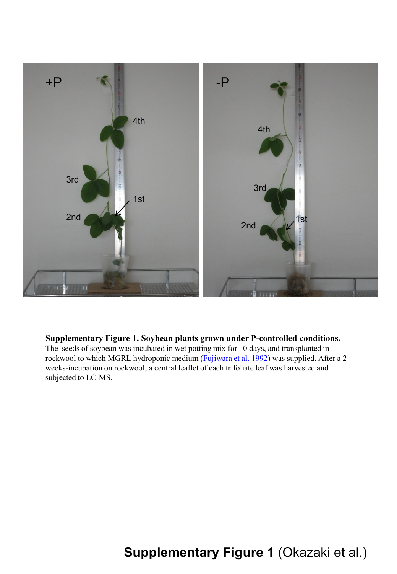

### **Supplementary Figure 1. Soybean plants grown under P-controlled conditions.**

The seeds of soybean was incubated in wet potting mix for 10 days, and transplanted in rockwool to which MGRL hydroponic medium (Fujiwara et al. 1992) was supplied. After a 2 weeks-incubation on rockwool, a central leaflet of each trifoliate leaf was harvested and subjected to LC-MS.

## **Supplementary Figure 1** (Okazaki et al.)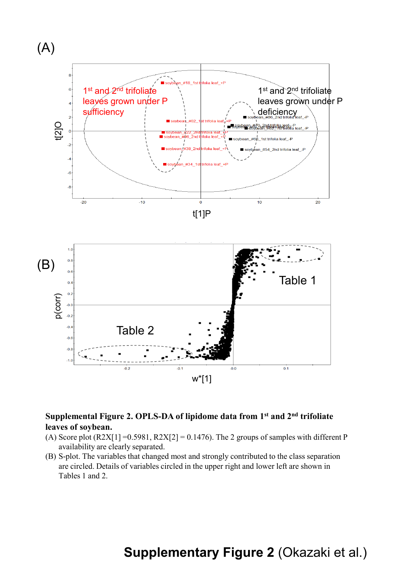

### **Supplemental Figure 2. OPLS-DA of lipidome data from 1st and 2nd trifoliate leaves of soybean.**

- (A) Score plot  $(R2X[1] = 0.5981, R2X[2] = 0.1476$ . The 2 groups of samples with different P availability are clearly separated.
- (B) S-plot. The variables that changed most and strongly contributed to the class separation are circled. Details of variables circled in the upper right and lower left are shown in Tables 1 and 2.

## **Supplementary Figure 2** (Okazaki et al.)